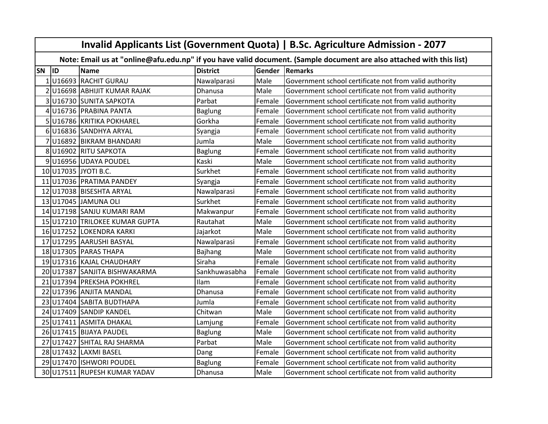|                                                                                                                      | Invalid Applicants List (Government Quota)   B.Sc. Agriculture Admission - 2077 |                                |                 |        |                                                        |  |  |
|----------------------------------------------------------------------------------------------------------------------|---------------------------------------------------------------------------------|--------------------------------|-----------------|--------|--------------------------------------------------------|--|--|
| Note: Email us at "online@afu.edu.np" if you have valid document. (Sample document are also attached with this list) |                                                                                 |                                |                 |        |                                                        |  |  |
| <b>SN</b>                                                                                                            | <b>ID</b>                                                                       | Name                           | <b>District</b> |        | Gender Remarks                                         |  |  |
|                                                                                                                      |                                                                                 | 1 U16693 RACHIT GURAU          | Nawalparasi     | Male   | Government school certificate not from valid authority |  |  |
|                                                                                                                      |                                                                                 | 2 U16698 ABHIJIT KUMAR RAJAK   | <b>Dhanusa</b>  | Male   | Government school certificate not from valid authority |  |  |
|                                                                                                                      |                                                                                 | 3 U16730 SUNITA SAPKOTA        | Parbat          | Female | Government school certificate not from valid authority |  |  |
|                                                                                                                      |                                                                                 | 4 U16736 PRABINA PANTA         | <b>Baglung</b>  | Female | Government school certificate not from valid authority |  |  |
|                                                                                                                      |                                                                                 | 5 U16786 KRITIKA POKHAREL      | Gorkha          | Female | Government school certificate not from valid authority |  |  |
|                                                                                                                      |                                                                                 | 6 U16836 SANDHYA ARYAL         | Syangja         | Female | Government school certificate not from valid authority |  |  |
|                                                                                                                      |                                                                                 | 7 U16892 BIKRAM BHANDARI       | Jumla           | Male   | Government school certificate not from valid authority |  |  |
|                                                                                                                      |                                                                                 | 8 U16902 RITU SAPKOTA          | <b>Baglung</b>  | Female | Government school certificate not from valid authority |  |  |
|                                                                                                                      |                                                                                 | 9U16956 UDAYA POUDEL           | Kaski           | Male   | Government school certificate not from valid authority |  |  |
|                                                                                                                      |                                                                                 | 10 U17035 JYOTI B.C.           | Surkhet         | Female | Government school certificate not from valid authority |  |  |
|                                                                                                                      |                                                                                 | 11 U17036 PRATIMA PANDEY       | Syangja         | Female | Government school certificate not from valid authority |  |  |
|                                                                                                                      |                                                                                 | 12 U17038 BISESHTA ARYAL       | Nawalparasi     | Female | Government school certificate not from valid authority |  |  |
|                                                                                                                      |                                                                                 | 13 U17045 JAMUNA OLI           | Surkhet         | Female | Government school certificate not from valid authority |  |  |
|                                                                                                                      |                                                                                 | 14 U17198 SANJU KUMARI RAM     | Makwanpur       | Female | Government school certificate not from valid authority |  |  |
|                                                                                                                      |                                                                                 | 15 U17210 TRILOKEE KUMAR GUPTA | Rautahat        | Male   | Government school certificate not from valid authority |  |  |
|                                                                                                                      |                                                                                 | 16 U17252 LOKENDRA KARKI       | Jajarkot        | Male   | Government school certificate not from valid authority |  |  |
| 17                                                                                                                   |                                                                                 | U17295 AARUSHI BASYAL          | Nawalparasi     | Female | Government school certificate not from valid authority |  |  |
|                                                                                                                      |                                                                                 | 18 U17305 PARAS THAPA          | <b>Bajhang</b>  | Male   | Government school certificate not from valid authority |  |  |
|                                                                                                                      |                                                                                 | 19 U17316 KAJAL CHAUDHARY      | Siraha          | Female | Government school certificate not from valid authority |  |  |
|                                                                                                                      |                                                                                 | 20 U17387 SANJITA BISHWAKARMA  | Sankhuwasabha   | Female | Government school certificate not from valid authority |  |  |
|                                                                                                                      |                                                                                 | 21 U17394 PREKSHA POKHREL      | Ilam            | Female | Government school certificate not from valid authority |  |  |
|                                                                                                                      |                                                                                 | 22 U17396 ANJITA MANDAL        | Dhanusa         | Female | Government school certificate not from valid authority |  |  |
|                                                                                                                      |                                                                                 | 23 U17404 SABITA BUDTHAPA      | Jumla           | Female | Government school certificate not from valid authority |  |  |
|                                                                                                                      |                                                                                 | 24 U17409 SANDIP KANDEL        | Chitwan         | Male   | Government school certificate not from valid authority |  |  |
|                                                                                                                      |                                                                                 | 25 U17411 ASMITA DHAKAL        | Lamjung         | Female | Government school certificate not from valid authority |  |  |
|                                                                                                                      |                                                                                 | 26 U17415 BIJAYA PAUDEL        | <b>Baglung</b>  | Male   | Government school certificate not from valid authority |  |  |
|                                                                                                                      |                                                                                 | 27 U17427 SHITAL RAJ SHARMA    | Parbat          | Male   | Government school certificate not from valid authority |  |  |
|                                                                                                                      |                                                                                 | 28 U17432 LAXMI BASEL          | Dang            | Female | Government school certificate not from valid authority |  |  |
|                                                                                                                      |                                                                                 | 29 U17470 ISHWORI POUDEL       | <b>Baglung</b>  | Female | Government school certificate not from valid authority |  |  |
|                                                                                                                      |                                                                                 | 30 U17511 RUPESH KUMAR YADAV   | Dhanusa         | Male   | Government school certificate not from valid authority |  |  |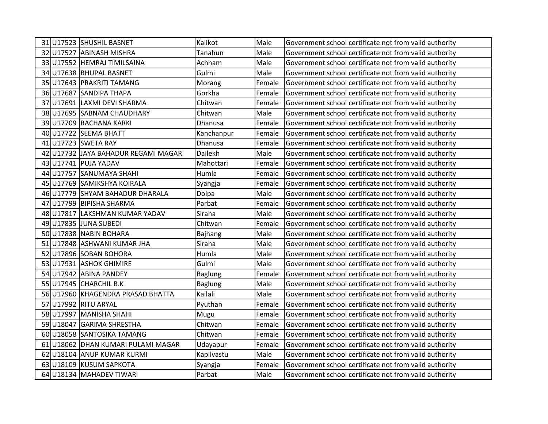|    | 31 U17523 SHUSHIL BASNET          | Kalikot        | Male   | Government school certificate not from valid authority |
|----|-----------------------------------|----------------|--------|--------------------------------------------------------|
|    | 32 U17527 ABINASH MISHRA          | Tanahun        | Male   | Government school certificate not from valid authority |
|    | 33 U17552 HEMRAJ TIMILSAINA       | Achham         | Male   | Government school certificate not from valid authority |
|    | 34 U17638 BHUPAL BASNET           | Gulmi          | Male   | Government school certificate not from valid authority |
|    | 35 U17643 PRAKRITI TAMANG         | Morang         | Female | Government school certificate not from valid authority |
|    | 36 U17687 SANDIPA THAPA           | Gorkha         | Female | Government school certificate not from valid authority |
|    | 37 U17691 LAXMI DEVI SHARMA       | Chitwan        | Female | Government school certificate not from valid authority |
|    | 38 U17695 SABNAM CHAUDHARY        | Chitwan        | Male   | Government school certificate not from valid authority |
|    | 39 U17709 RACHANA KARKI           | Dhanusa        | Female | Government school certificate not from valid authority |
|    | 40 U17722 SEEMA BHATT             | Kanchanpur     | Female | Government school certificate not from valid authority |
|    | 41 U17723 SWETA RAY               | Dhanusa        | Female | Government school certificate not from valid authority |
| 42 | U17732 JJAYA BAHADUR REGAMI MAGAR | Dailekh        | Male   | Government school certificate not from valid authority |
|    | 43 U17741 PUJA YADAV              | Mahottari      | Female | Government school certificate not from valid authority |
|    | 44 U17757 SANUMAYA SHAHI          | Humla          | Female | Government school certificate not from valid authority |
|    | 45 U17769 SAMIKSHYA KOIRALA       | Syangja        | Female | Government school certificate not from valid authority |
|    | 46 U17779 SHYAM BAHADUR DHARALA   | Dolpa          | Male   | Government school certificate not from valid authority |
|    | 47 U17799 BIPISHA SHARMA          | Parbat         | Female | Government school certificate not from valid authority |
|    | 48 U17817 LAKSHMAN KUMAR YADAV    | Siraha         | Male   | Government school certificate not from valid authority |
|    | 49 U17835 JUNA SUBEDI             | Chitwan        | Female | Government school certificate not from valid authority |
|    | 50 U17838 NABIN BOHARA            | Bajhang        | Male   | Government school certificate not from valid authority |
|    | 51 U17848 ASHWANI KUMAR JHA       | Siraha         | Male   | Government school certificate not from valid authority |
|    | 52 U17896 SOBAN BOHORA            | Humla          | Male   | Government school certificate not from valid authority |
|    | 53 U17931 ASHOK GHIMIRE           | Gulmi          | Male   | Government school certificate not from valid authority |
|    | 54 U17942 ABINA PANDEY            | <b>Baglung</b> | Female | Government school certificate not from valid authority |
|    | 55 U17945 CHARCHIL B.K            | <b>Baglung</b> | Male   | Government school certificate not from valid authority |
|    | 56 U17960 KHAGENDRA PRASAD BHATTA | Kailali        | Male   | Government school certificate not from valid authority |
|    | 57 U17992 RITU ARYAL              | Pyuthan        | Female | Government school certificate not from valid authority |
|    | 58 U17997 MANISHA SHAHI           | Mugu           | Female | Government school certificate not from valid authority |
|    | 59 U18047 GARIMA SHRESTHA         | Chitwan        | Female | Government school certificate not from valid authority |
|    | 60 U18058 SANTOSIKA TAMANG        | Chitwan        | Female | Government school certificate not from valid authority |
| 61 | U18062 DHAN KUMARI PULAMI MAGAR   | Udayapur       | Female | Government school certificate not from valid authority |
|    | 62 U18104 ANUP KUMAR KURMI        | Kapilvastu     | Male   | Government school certificate not from valid authority |
|    | 63 U18109 KUSUM SAPKOTA           | Syangja        | Female | Government school certificate not from valid authority |
|    | 64 U18134 MAHADEV TIWARI          | Parbat         | Male   | Government school certificate not from valid authority |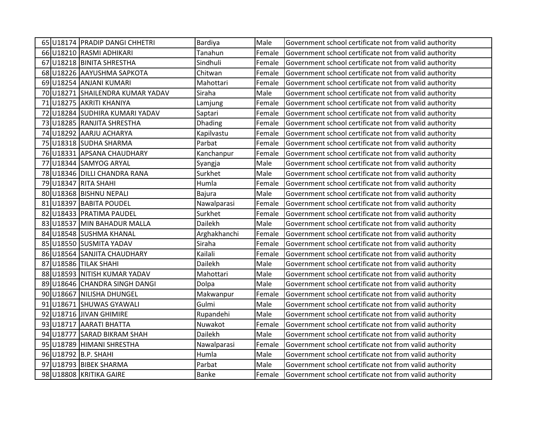|  | 65 U18174 PRADIP DANGI CHHETRI   | Bardiya        | Male   | Government school certificate not from valid authority |
|--|----------------------------------|----------------|--------|--------------------------------------------------------|
|  | 66 U18210 RASMI ADHIKARI         | Tanahun        | Female | Government school certificate not from valid authority |
|  | 67 U18218 BINITA SHRESTHA        | Sindhuli       | Female | Government school certificate not from valid authority |
|  | 68 U18226 AAYUSHMA SAPKOTA       | Chitwan        | Female | Government school certificate not from valid authority |
|  | 69 U18254 ANJANI KUMARI          | Mahottari      | Female | Government school certificate not from valid authority |
|  | 70 U18271 SHAILENDRA KUMAR YADAV | Siraha         | Male   | Government school certificate not from valid authority |
|  | 71 U18275 AKRITI KHANIYA         | Lamjung        | Female | Government school certificate not from valid authority |
|  | 72 U18284 SUDHIRA KUMARI YADAV   | Saptari        | Female | Government school certificate not from valid authority |
|  | 73 U18285 RANJITA SHRESTHA       | <b>Dhading</b> | Female | Government school certificate not from valid authority |
|  | 74 U18292 AARJU ACHARYA          | Kapilvastu     | Female | Government school certificate not from valid authority |
|  | 75 U18318 SUDHA SHARMA           | Parbat         | Female | Government school certificate not from valid authority |
|  | 76 U18331 APSANA CHAUDHARY       | Kanchanpur     | Female | Government school certificate not from valid authority |
|  | 77 U18344 SAMYOG ARYAL           | Syangja        | Male   | Government school certificate not from valid authority |
|  | 78 U18346 DILLI CHANDRA RANA     | Surkhet        | Male   | Government school certificate not from valid authority |
|  | 79 U18347 RITA SHAHI             | Humla          | Female | Government school certificate not from valid authority |
|  | 80 U18368 BISHNU NEPALI          | Bajura         | Male   | Government school certificate not from valid authority |
|  | 81 U18397 BABITA POUDEL          | Nawalparasi    | Female | Government school certificate not from valid authority |
|  | 82 U18433 PRATIMA PAUDEL         | Surkhet        | Female | Government school certificate not from valid authority |
|  | 83 U18537 MIN BAHADUR MALLA      | Dailekh        | Male   | Government school certificate not from valid authority |
|  | 84 U18548 SUSHMA KHANAL          | Arghakhanchi   | Female | Government school certificate not from valid authority |
|  | 85 U18550 SUSMITA YADAV          | Siraha         | Female | Government school certificate not from valid authority |
|  | 86 U18564 SANJITA CHAUDHARY      | Kailali        | Female | Government school certificate not from valid authority |
|  | 87 U18586 TILAK SHAHI            | Dailekh        | Male   | Government school certificate not from valid authority |
|  | 88 U18593 NITISH KUMAR YADAV     | Mahottari      | Male   | Government school certificate not from valid authority |
|  | 89 U18646 CHANDRA SINGH DANGI    | Dolpa          | Male   | Government school certificate not from valid authority |
|  | 90 U18667 NILISHA DHUNGEL        | Makwanpur      | Female | Government school certificate not from valid authority |
|  | 91 U18671 SHUWAS GYAWALI         | Gulmi          | Male   | Government school certificate not from valid authority |
|  | 92 U18716 JIVAN GHIMIRE          | Rupandehi      | Male   | Government school certificate not from valid authority |
|  | 93 U18717 AARATI BHATTA          | Nuwakot        | Female | Government school certificate not from valid authority |
|  | 94 U18777 SARAD BIKRAM SHAH      | Dailekh        | Male   | Government school certificate not from valid authority |
|  | 95 U18789 HIMANI SHRESTHA        | Nawalparasi    | Female | Government school certificate not from valid authority |
|  | 96 U18792 B.P. SHAHI             | Humla          | Male   | Government school certificate not from valid authority |
|  | 97 U18793 BIBEK SHARMA           | Parbat         | Male   | Government school certificate not from valid authority |
|  | 98 U18808 KRITIKA GAIRE          | Banke          | Female | Government school certificate not from valid authority |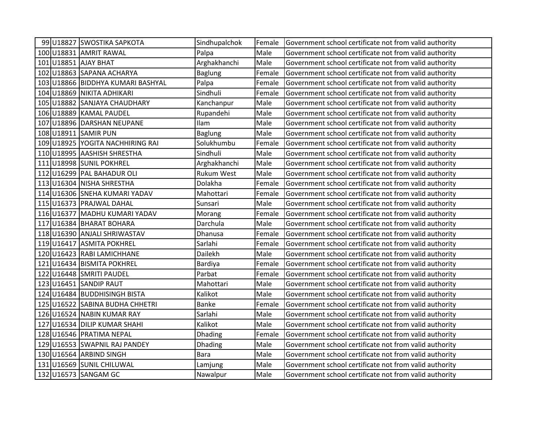|  | 99 U18827 SWOSTIKA SAPKOTA        | Sindhupalchok  | Female | Government school certificate not from valid authority |
|--|-----------------------------------|----------------|--------|--------------------------------------------------------|
|  | 100 U18831 AMRIT RAWAL            | Palpa          | Male   | Government school certificate not from valid authority |
|  | 101 U18851 AJAY BHAT              | Arghakhanchi   | Male   | Government school certificate not from valid authority |
|  | 102 U18863 SAPANA ACHARYA         | <b>Baglung</b> | Female | Government school certificate not from valid authority |
|  | 103 U18866 BIDDHYA KUMARI BASHYAL | Palpa          | Female | Government school certificate not from valid authority |
|  | 104 U18869 NIKITA ADHIKARI        | Sindhuli       | Female | Government school certificate not from valid authority |
|  | 105 U18882 SANJAYA CHAUDHARY      | Kanchanpur     | Male   | Government school certificate not from valid authority |
|  | 106 U18889 KAMAL PAUDEL           | Rupandehi      | Male   | Government school certificate not from valid authority |
|  | 107 U18896 DARSHAN NEUPANE        | Ilam           | Male   | Government school certificate not from valid authority |
|  | 108 U18911 SAMIR PUN              | <b>Baglung</b> | Male   | Government school certificate not from valid authority |
|  | 109 U18925 YOGITA NACHHIRING RAI  | Solukhumbu     | Female | Government school certificate not from valid authority |
|  | 110 U18995 AASHISH SHRESTHA       | Sindhuli       | Male   | Government school certificate not from valid authority |
|  | 111 U18998 SUNIL POKHREL          | Arghakhanchi   | Male   | Government school certificate not from valid authority |
|  | 112 U16299 PAL BAHADUR OLI        | Rukum West     | Male   | Government school certificate not from valid authority |
|  | 113 U16304 NISHA SHRESTHA         | Dolakha        | Female | Government school certificate not from valid authority |
|  | 114 U16306 SNEHA KUMARI YADAV     | Mahottari      | Female | Government school certificate not from valid authority |
|  | 115 U16373 PRAJWAL DAHAL          | Sunsari        | Male   | Government school certificate not from valid authority |
|  | 116 U16377 MADHU KUMARI YADAV     | Morang         | Female | Government school certificate not from valid authority |
|  | 117 U16384 BHARAT BOHARA          | Darchula       | Male   | Government school certificate not from valid authority |
|  | 118 U16390 ANJALI SHRIWASTAV      | Dhanusa        | Female | Government school certificate not from valid authority |
|  | 119 U16417 ASMITA POKHREL         | Sarlahi        | Female | Government school certificate not from valid authority |
|  | 120 U16423 RABI LAMICHHANE        | Dailekh        | Male   | Government school certificate not from valid authority |
|  | 121 U16434 BISMITA POKHREL        | Bardiya        | Female | Government school certificate not from valid authority |
|  | 122 U16448 SMRITI PAUDEL          | Parbat         | Female | Government school certificate not from valid authority |
|  | 123 U16451 SANDIP RAUT            | Mahottari      | Male   | Government school certificate not from valid authority |
|  | 124 U16484 BUDDHISINGH BISTA      | Kalikot        | Male   | Government school certificate not from valid authority |
|  | 125 U16522 SABINA BUDHA CHHETRI   | Banke          | Female | Government school certificate not from valid authority |
|  | 126 U16524 NABIN KUMAR RAY        | Sarlahi        | Male   | Government school certificate not from valid authority |
|  | 127 U16534 DILIP KUMAR SHAHI      | Kalikot        | Male   | Government school certificate not from valid authority |
|  | 128 U16546 PRATIMA NEPAL          | <b>Dhading</b> | Female | Government school certificate not from valid authority |
|  | 129 U16553 SWAPNIL RAJ PANDEY     | <b>Dhading</b> | Male   | Government school certificate not from valid authority |
|  | 130 U16564 ARBIND SINGH           | Bara           | Male   | Government school certificate not from valid authority |
|  | 131 U16569 SUNIL CHILUWAL         | Lamjung        | Male   | Government school certificate not from valid authority |
|  | 132 U16573 SANGAM GC              | Nawalpur       | Male   | Government school certificate not from valid authority |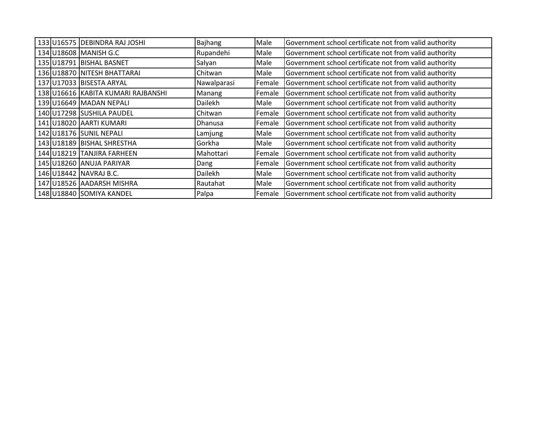|  | 133 U16575 DEBINDRA RAJ JOSHI       | Bajhang        | Male          | Government school certificate not from valid authority |
|--|-------------------------------------|----------------|---------------|--------------------------------------------------------|
|  | 134 U18608 MANISH G.C               | Rupandehi      | Male          | Government school certificate not from valid authority |
|  | 135 U18791 BISHAL BASNET            | Salyan         | Male          | Government school certificate not from valid authority |
|  | 136 U18870 NITESH BHATTARAI         | Chitwan        | Male          | Government school certificate not from valid authority |
|  | 137 U17033 BISESTA ARYAL            | Nawalparasi    | Female        | Government school certificate not from valid authority |
|  | 138 U16616  KABITA KUMARI RAJBANSHI | Manang         | Female        | Government school certificate not from valid authority |
|  | 139 U16649 MADAN NEPALI             | Dailekh        | Male          | Government school certificate not from valid authority |
|  | 140 U17298 SUSHILA PAUDEL           | Chitwan        | Female        | Government school certificate not from valid authority |
|  | 141 U18020  AARTI KUMARI            | <b>Dhanusa</b> | <b>Female</b> | Government school certificate not from valid authority |
|  | 142 U18176 SUNIL NEPALI             | Lamjung        | Male          | Government school certificate not from valid authority |
|  | 143 U18189 BISHAL SHRESTHA          | Gorkha         | Male          | Government school certificate not from valid authority |
|  | 144 U18219  TANJIRA FARHEEN         | Mahottari      | Female        | Government school certificate not from valid authority |
|  | 145 U18260 ANUJA PARIYAR            | Dang           | <b>Female</b> | Government school certificate not from valid authority |
|  | 146 U18442  NAVRAJ B.C.             | Dailekh        | Male          | Government school certificate not from valid authority |
|  | 147 U18526 AADARSH MISHRA           | Rautahat       | Male          | Government school certificate not from valid authority |
|  | 148 U18840 SOMIYA KANDEL            | Palpa          | <b>Female</b> | Government school certificate not from valid authority |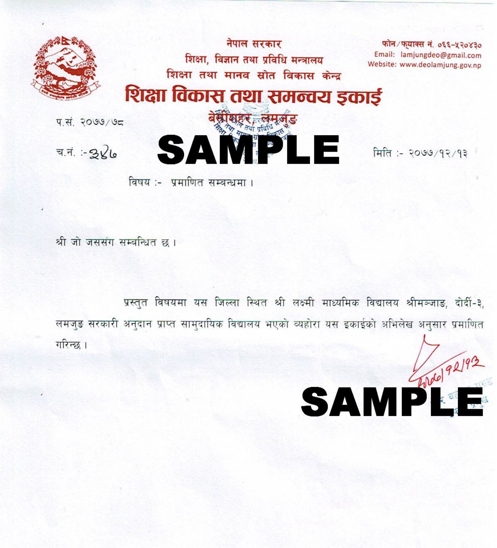

विषय :- प्रमाणित सम्बन्धमा ।

श्री जो जससंग सम्बन्धित छ।

प्रस्तुत विषयमा यस जिल्ला स्थित श्री लक्ष्मी माध्यमिक विद्यालय श्रीमञ्जाङ, दोर्दी-३, लमजुड सरकारी अनुदान प्राप्त सामुदायिक विद्यालय भएको व्यहोरा यस इकाईको अभिलेख अनुसार प्रमाणित गरिन्छ । SAMP<sup>20092192</sup>